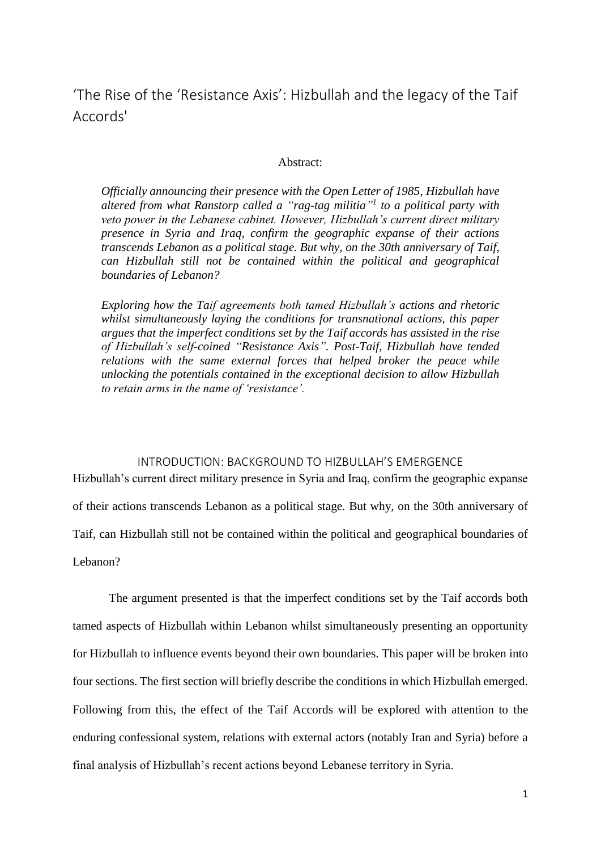'The Rise of the 'Resistance Axis': Hizbullah and the legacy of the Taif Accords'

### Abstract:

*Officially announcing their presence with the Open Letter of 1985, Hizbullah have altered from what Ranstorp called a "rag-tag militia" 1 to a political party with veto power in the Lebanese cabinet. However, Hizbullah's current direct military presence in Syria and Iraq, confirm the geographic expanse of their actions transcends Lebanon as a political stage. But why, on the 30th anniversary of Taif, can Hizbullah still not be contained within the political and geographical boundaries of Lebanon?*

*Exploring how the Taif agreements both tamed Hizbullah's actions and rhetoric whilst simultaneously laying the conditions for transnational actions, this paper argues that the imperfect conditions set by the Taif accords has assisted in the rise of Hizbullah's self-coined "Resistance Axis". Post-Taif, Hizbullah have tended relations with the same external forces that helped broker the peace while unlocking the potentials contained in the exceptional decision to allow Hizbullah to retain arms in the name of 'resistance'.* 

### INTRODUCTION: BACKGROUND TO HIZBULLAH'S EMERGENCE

Hizbullah's current direct military presence in Syria and Iraq, confirm the geographic expanse of their actions transcends Lebanon as a political stage. But why, on the 30th anniversary of Taif, can Hizbullah still not be contained within the political and geographical boundaries of Lebanon?

The argument presented is that the imperfect conditions set by the Taif accords both tamed aspects of Hizbullah within Lebanon whilst simultaneously presenting an opportunity for Hizbullah to influence events beyond their own boundaries. This paper will be broken into four sections. The first section will briefly describe the conditions in which Hizbullah emerged. Following from this, the effect of the Taif Accords will be explored with attention to the enduring confessional system, relations with external actors (notably Iran and Syria) before a final analysis of Hizbullah's recent actions beyond Lebanese territory in Syria.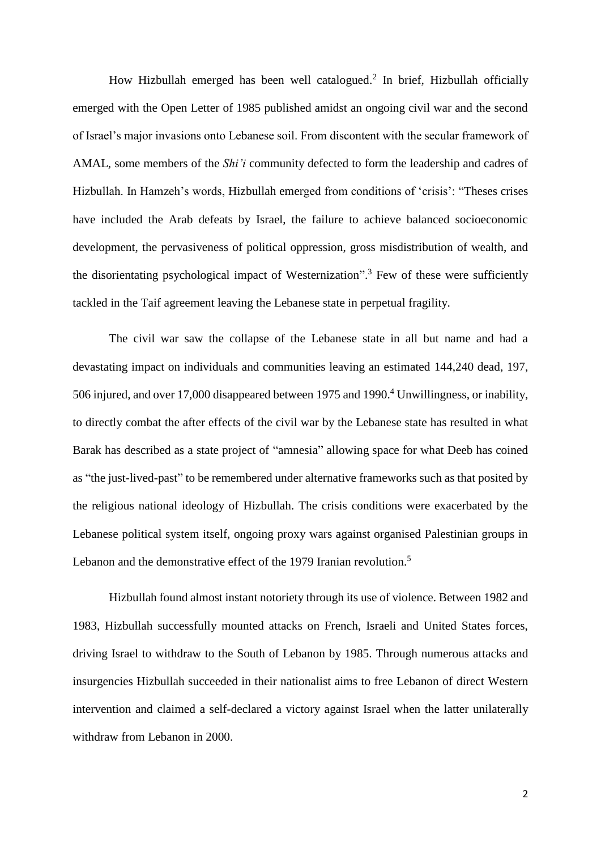How Hizbullah emerged has been well catalogued.<sup>2</sup> In brief, Hizbullah officially emerged with the Open Letter of 1985 published amidst an ongoing civil war and the second of Israel's major invasions onto Lebanese soil. From discontent with the secular framework of AMAL, some members of the *Shi'i* community defected to form the leadership and cadres of Hizbullah. In Hamzeh's words, Hizbullah emerged from conditions of 'crisis': "Theses crises have included the Arab defeats by Israel, the failure to achieve balanced socioeconomic development, the pervasiveness of political oppression, gross misdistribution of wealth, and the disorientating psychological impact of Westernization".<sup>3</sup> Few of these were sufficiently tackled in the Taif agreement leaving the Lebanese state in perpetual fragility.

The civil war saw the collapse of the Lebanese state in all but name and had a devastating impact on individuals and communities leaving an estimated 144,240 dead, 197, 506 injured, and over 17,000 disappeared between 1975 and 1990. <sup>4</sup> Unwillingness, or inability, to directly combat the after effects of the civil war by the Lebanese state has resulted in what Barak has described as a state project of "amnesia" allowing space for what Deeb has coined as "the just-lived-past" to be remembered under alternative frameworks such as that posited by the religious national ideology of Hizbullah. The crisis conditions were exacerbated by the Lebanese political system itself, ongoing proxy wars against organised Palestinian groups in Lebanon and the demonstrative effect of the 1979 Iranian revolution.<sup>5</sup>

Hizbullah found almost instant notoriety through its use of violence. Between 1982 and 1983, Hizbullah successfully mounted attacks on French, Israeli and United States forces, driving Israel to withdraw to the South of Lebanon by 1985. Through numerous attacks and insurgencies Hizbullah succeeded in their nationalist aims to free Lebanon of direct Western intervention and claimed a self-declared a victory against Israel when the latter unilaterally withdraw from Lebanon in 2000.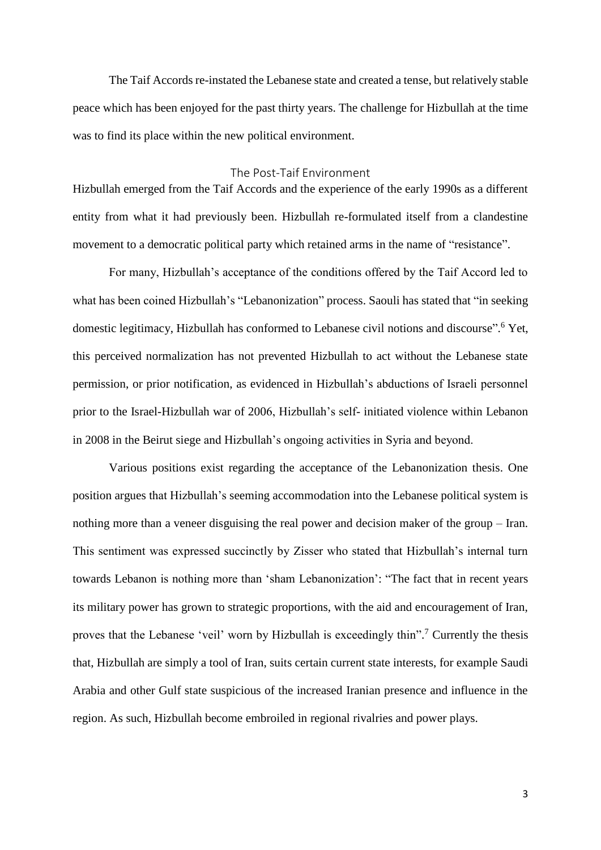The Taif Accords re-instated the Lebanese state and created a tense, but relatively stable peace which has been enjoyed for the past thirty years. The challenge for Hizbullah at the time was to find its place within the new political environment.

# The Post-Taif Environment

Hizbullah emerged from the Taif Accords and the experience of the early 1990s as a different entity from what it had previously been. Hizbullah re-formulated itself from a clandestine movement to a democratic political party which retained arms in the name of "resistance".

For many, Hizbullah's acceptance of the conditions offered by the Taif Accord led to what has been coined Hizbullah's "Lebanonization" process. Saouli has stated that "in seeking domestic legitimacy, Hizbullah has conformed to Lebanese civil notions and discourse".<sup>6</sup> Yet, this perceived normalization has not prevented Hizbullah to act without the Lebanese state permission, or prior notification, as evidenced in Hizbullah's abductions of Israeli personnel prior to the Israel-Hizbullah war of 2006, Hizbullah's self- initiated violence within Lebanon in 2008 in the Beirut siege and Hizbullah's ongoing activities in Syria and beyond.

Various positions exist regarding the acceptance of the Lebanonization thesis. One position argues that Hizbullah's seeming accommodation into the Lebanese political system is nothing more than a veneer disguising the real power and decision maker of the group – Iran. This sentiment was expressed succinctly by Zisser who stated that Hizbullah's internal turn towards Lebanon is nothing more than 'sham Lebanonization': "The fact that in recent years its military power has grown to strategic proportions, with the aid and encouragement of Iran, proves that the Lebanese 'veil' worn by Hizbullah is exceedingly thin".<sup>7</sup> Currently the thesis that, Hizbullah are simply a tool of Iran, suits certain current state interests, for example Saudi Arabia and other Gulf state suspicious of the increased Iranian presence and influence in the region. As such, Hizbullah become embroiled in regional rivalries and power plays.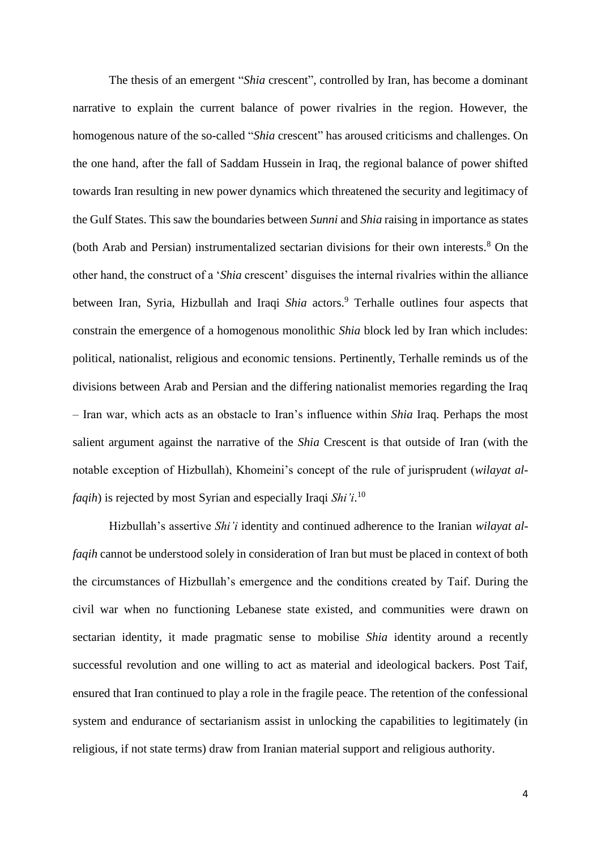The thesis of an emergent "*Shia* crescent", controlled by Iran, has become a dominant narrative to explain the current balance of power rivalries in the region. However, the homogenous nature of the so-called "*Shia* crescent" has aroused criticisms and challenges. On the one hand, after the fall of Saddam Hussein in Iraq, the regional balance of power shifted towards Iran resulting in new power dynamics which threatened the security and legitimacy of the Gulf States. This saw the boundaries between *Sunni* and *Shia* raising in importance as states (both Arab and Persian) instrumentalized sectarian divisions for their own interests.<sup>8</sup> On the other hand, the construct of a '*Shia* crescent' disguises the internal rivalries within the alliance between Iran, Syria, Hizbullah and Iraqi *Shia* actors.<sup>9</sup> Terhalle outlines four aspects that constrain the emergence of a homogenous monolithic *Shia* block led by Iran which includes: political, nationalist, religious and economic tensions. Pertinently, Terhalle reminds us of the divisions between Arab and Persian and the differing nationalist memories regarding the Iraq – Iran war, which acts as an obstacle to Iran's influence within *Shia* Iraq. Perhaps the most salient argument against the narrative of the *Shia* Crescent is that outside of Iran (with the notable exception of Hizbullah), Khomeini's concept of the rule of jurisprudent (*wilayat alfaqih*) is rejected by most Syrian and especially Iraqi *Shi'i*. 10

Hizbullah's assertive *Shi'i* identity and continued adherence to the Iranian *wilayat alfaqih* cannot be understood solely in consideration of Iran but must be placed in context of both the circumstances of Hizbullah's emergence and the conditions created by Taif. During the civil war when no functioning Lebanese state existed, and communities were drawn on sectarian identity, it made pragmatic sense to mobilise *Shia* identity around a recently successful revolution and one willing to act as material and ideological backers. Post Taif, ensured that Iran continued to play a role in the fragile peace. The retention of the confessional system and endurance of sectarianism assist in unlocking the capabilities to legitimately (in religious, if not state terms) draw from Iranian material support and religious authority.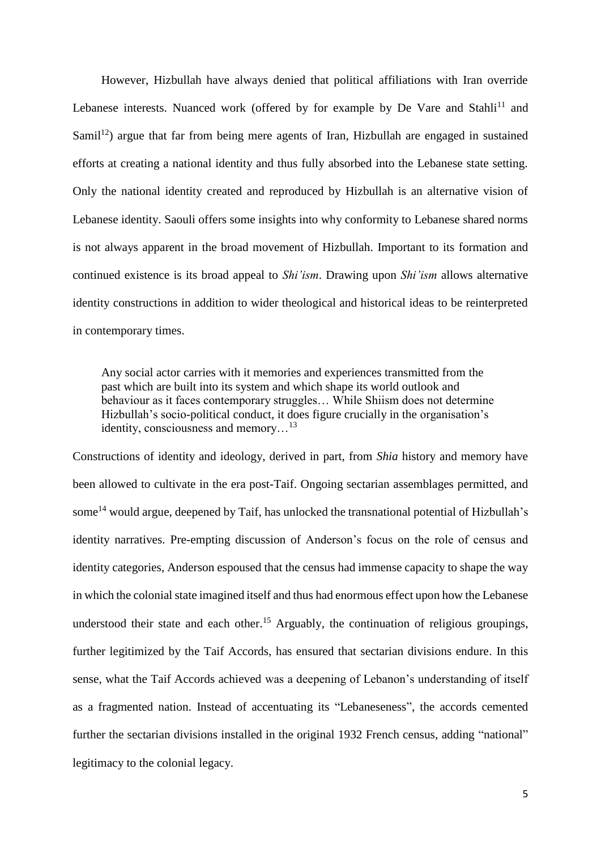However, Hizbullah have always denied that political affiliations with Iran override Lebanese interests. Nuanced work (offered by for example by De Vare and Stahli<sup>11</sup> and Samil<sup>12</sup>) argue that far from being mere agents of Iran, Hizbullah are engaged in sustained efforts at creating a national identity and thus fully absorbed into the Lebanese state setting. Only the national identity created and reproduced by Hizbullah is an alternative vision of Lebanese identity. Saouli offers some insights into why conformity to Lebanese shared norms is not always apparent in the broad movement of Hizbullah. Important to its formation and continued existence is its broad appeal to *Shi'ism*. Drawing upon *Shi'ism* allows alternative identity constructions in addition to wider theological and historical ideas to be reinterpreted in contemporary times.

Any social actor carries with it memories and experiences transmitted from the past which are built into its system and which shape its world outlook and behaviour as it faces contemporary struggles… While Shiism does not determine Hizbullah's socio-political conduct, it does figure crucially in the organisation's identity, consciousness and memory…<sup>13</sup>

Constructions of identity and ideology, derived in part, from *Shia* history and memory have been allowed to cultivate in the era post-Taif. Ongoing sectarian assemblages permitted, and some<sup>14</sup> would argue, deepened by Taif, has unlocked the transnational potential of Hizbullah's identity narratives. Pre-empting discussion of Anderson's focus on the role of census and identity categories, Anderson espoused that the census had immense capacity to shape the way in which the colonial state imagined itself and thus had enormous effect upon how the Lebanese understood their state and each other.<sup>15</sup> Arguably, the continuation of religious groupings, further legitimized by the Taif Accords, has ensured that sectarian divisions endure. In this sense, what the Taif Accords achieved was a deepening of Lebanon's understanding of itself as a fragmented nation. Instead of accentuating its "Lebaneseness", the accords cemented further the sectarian divisions installed in the original 1932 French census, adding "national" legitimacy to the colonial legacy.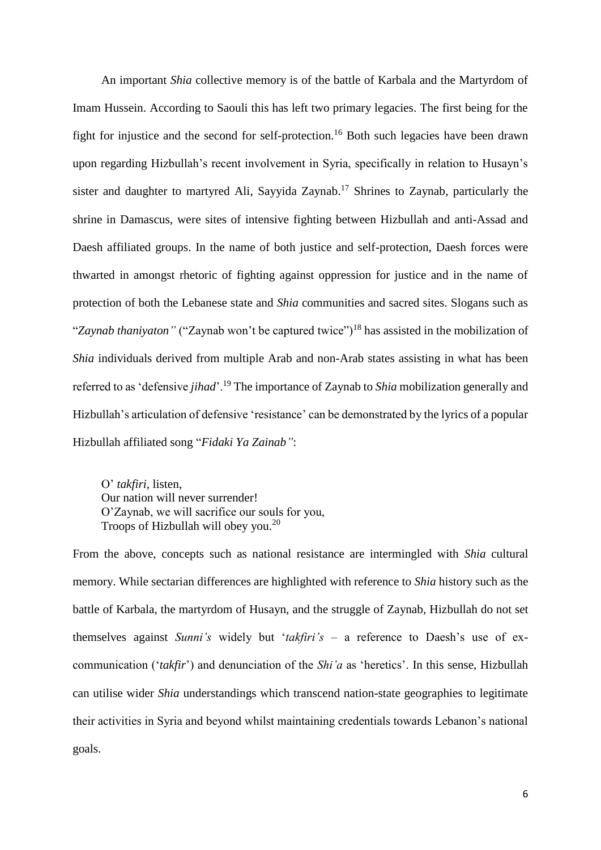An important *Shia* collective memory is of the battle of Karbala and the Martyrdom of Imam Hussein. According to Saouli this has left two primary legacies. The first being for the fight for injustice and the second for self-protection.<sup>16</sup> Both such legacies have been drawn upon regarding Hizbullah's recent involvement in Syria, specifically in relation to Husayn's sister and daughter to martyred Ali, Sayyida Zaynab. <sup>17</sup> Shrines to Zaynab, particularly the shrine in Damascus, were sites of intensive fighting between Hizbullah and anti-Assad and Daesh affiliated groups. In the name of both justice and self-protection, Daesh forces were thwarted in amongst rhetoric of fighting against oppression for justice and in the name of protection of both the Lebanese state and *Shia* communities and sacred sites. Slogans such as "Zaynab thaniyaton" ("Zaynab won't be captured twice")<sup>18</sup> has assisted in the mobilization of *Shia* individuals derived from multiple Arab and non-Arab states assisting in what has been referred to as 'defensive *jihad*'.<sup>19</sup> The importance of Zaynab to *Shia* mobilization generally and Hizbullah's articulation of defensive 'resistance' can be demonstrated by the lyrics of a popular Hizbullah affiliated song "*Fidaki Ya Zainab"*:

O' *takfiri*, listen, Our nation will never surrender! O'Zaynab, we will sacrifice our souls for you, Troops of Hizbullah will obey you.<sup>20</sup>

From the above, concepts such as national resistance are intermingled with *Shia* cultural memory. While sectarian differences are highlighted with reference to *Shia* history such as the battle of Karbala, the martyrdom of Husayn, and the struggle of Zaynab, Hizbullah do not set themselves against *Sunni's* widely but '*takfiri's* – a reference to Daesh's use of excommunication ('*takfir*') and denunciation of the *Shi'a* as 'heretics'. In this sense, Hizbullah can utilise wider *Shia* understandings which transcend nation-state geographies to legitimate their activities in Syria and beyond whilst maintaining credentials towards Lebanon's national goals.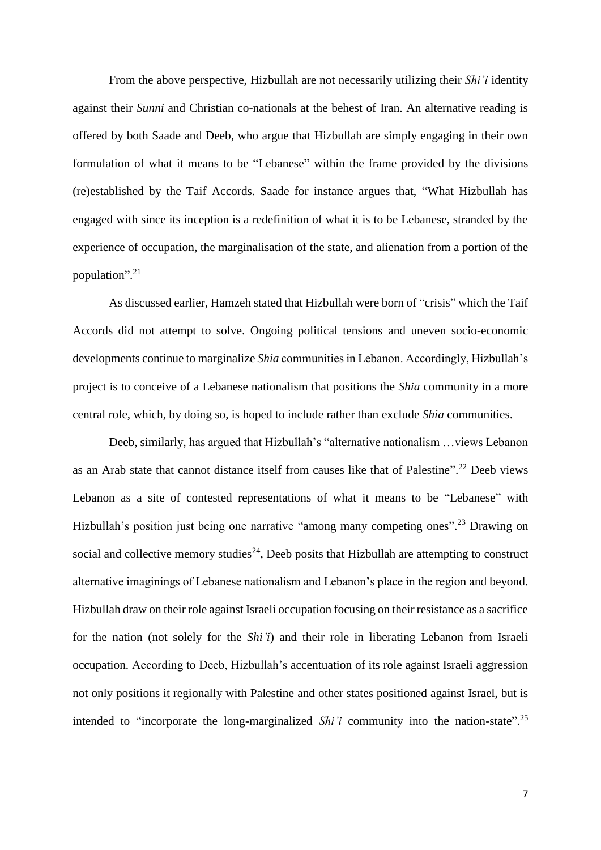From the above perspective, Hizbullah are not necessarily utilizing their *Shi'i* identity against their *Sunni* and Christian co-nationals at the behest of Iran. An alternative reading is offered by both Saade and Deeb, who argue that Hizbullah are simply engaging in their own formulation of what it means to be "Lebanese" within the frame provided by the divisions (re)established by the Taif Accords. Saade for instance argues that, "What Hizbullah has engaged with since its inception is a redefinition of what it is to be Lebanese, stranded by the experience of occupation, the marginalisation of the state, and alienation from a portion of the population". 21

As discussed earlier, Hamzeh stated that Hizbullah were born of "crisis" which the Taif Accords did not attempt to solve. Ongoing political tensions and uneven socio-economic developments continue to marginalize *Shia* communities in Lebanon. Accordingly, Hizbullah's project is to conceive of a Lebanese nationalism that positions the *Shia* community in a more central role, which, by doing so, is hoped to include rather than exclude *Shia* communities.

Deeb, similarly, has argued that Hizbullah's "alternative nationalism …views Lebanon as an Arab state that cannot distance itself from causes like that of Palestine". <sup>22</sup> Deeb views Lebanon as a site of contested representations of what it means to be "Lebanese" with Hizbullah's position just being one narrative "among many competing ones".<sup>23</sup> Drawing on social and collective memory studies<sup>24</sup>, Deeb posits that Hizbullah are attempting to construct alternative imaginings of Lebanese nationalism and Lebanon's place in the region and beyond. Hizbullah draw on their role against Israeli occupation focusing on their resistance as a sacrifice for the nation (not solely for the *Shi'i*) and their role in liberating Lebanon from Israeli occupation. According to Deeb, Hizbullah's accentuation of its role against Israeli aggression not only positions it regionally with Palestine and other states positioned against Israel, but is intended to "incorporate the long-marginalized *Shi'i* community into the nation-state".<sup>25</sup>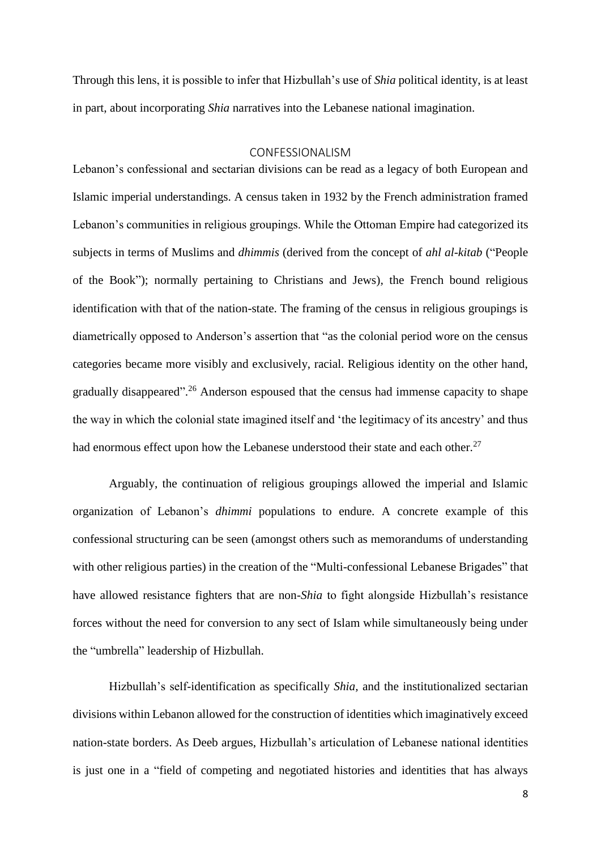Through this lens, it is possible to infer that Hizbullah's use of *Shia* political identity, is at least in part, about incorporating *Shia* narratives into the Lebanese national imagination.

### CONFESSIONALISM

Lebanon's confessional and sectarian divisions can be read as a legacy of both European and Islamic imperial understandings. A census taken in 1932 by the French administration framed Lebanon's communities in religious groupings. While the Ottoman Empire had categorized its subjects in terms of Muslims and *dhimmis* (derived from the concept of *ahl al-kitab* ("People of the Book"); normally pertaining to Christians and Jews)*,* the French bound religious identification with that of the nation-state. The framing of the census in religious groupings is diametrically opposed to Anderson's assertion that "as the colonial period wore on the census categories became more visibly and exclusively, racial. Religious identity on the other hand, gradually disappeared".<sup>26</sup> Anderson espoused that the census had immense capacity to shape the way in which the colonial state imagined itself and 'the legitimacy of its ancestry' and thus had enormous effect upon how the Lebanese understood their state and each other.<sup>27</sup>

Arguably, the continuation of religious groupings allowed the imperial and Islamic organization of Lebanon's *dhimmi* populations to endure. A concrete example of this confessional structuring can be seen (amongst others such as memorandums of understanding with other religious parties) in the creation of the "Multi-confessional Lebanese Brigades" that have allowed resistance fighters that are non-*Shia* to fight alongside Hizbullah's resistance forces without the need for conversion to any sect of Islam while simultaneously being under the "umbrella" leadership of Hizbullah.

Hizbullah's self-identification as specifically *Shia,* and the institutionalized sectarian divisions within Lebanon allowed for the construction of identities which imaginatively exceed nation-state borders. As Deeb argues, Hizbullah's articulation of Lebanese national identities is just one in a "field of competing and negotiated histories and identities that has always

8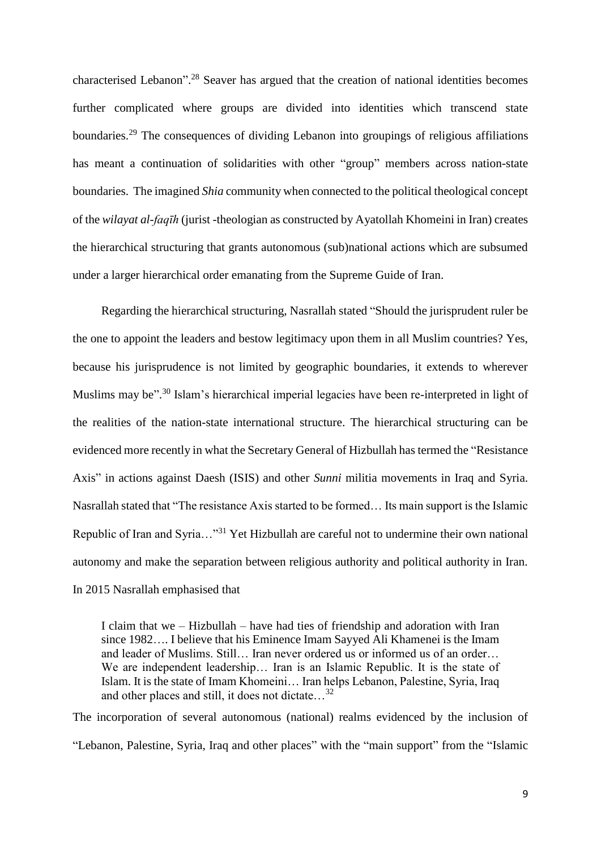characterised Lebanon".<sup>28</sup> Seaver has argued that the creation of national identities becomes further complicated where groups are divided into identities which transcend state boundaries.<sup>29</sup> The consequences of dividing Lebanon into groupings of religious affiliations has meant a continuation of solidarities with other "group" members across nation-state boundaries. The imagined *Shia* community when connected to the political theological concept of the *wilayat al-faqīh* (jurist -theologian as constructed by Ayatollah Khomeini in Iran) creates the hierarchical structuring that grants autonomous (sub)national actions which are subsumed under a larger hierarchical order emanating from the Supreme Guide of Iran.

Regarding the hierarchical structuring, Nasrallah stated "Should the jurisprudent ruler be the one to appoint the leaders and bestow legitimacy upon them in all Muslim countries? Yes, because his jurisprudence is not limited by geographic boundaries, it extends to wherever Muslims may be".<sup>30</sup> Islam's hierarchical imperial legacies have been re-interpreted in light of the realities of the nation-state international structure. The hierarchical structuring can be evidenced more recently in what the Secretary General of Hizbullah has termed the "Resistance Axis" in actions against Daesh (ISIS) and other *Sunni* militia movements in Iraq and Syria. Nasrallah stated that "The resistance Axis started to be formed… Its main support is the Islamic Republic of Iran and Syria..."<sup>31</sup> Yet Hizbullah are careful not to undermine their own national autonomy and make the separation between religious authority and political authority in Iran. In 2015 Nasrallah emphasised that

I claim that we – Hizbullah – have had ties of friendship and adoration with Iran since 1982…. I believe that his Eminence Imam Sayyed Ali Khamenei is the Imam and leader of Muslims. Still… Iran never ordered us or informed us of an order… We are independent leadership… Iran is an Islamic Republic. It is the state of Islam. It is the state of Imam Khomeini… Iran helps Lebanon, Palestine, Syria, Iraq and other places and still, it does not dictate…<sup>32</sup>

The incorporation of several autonomous (national) realms evidenced by the inclusion of "Lebanon, Palestine, Syria, Iraq and other places" with the "main support" from the "Islamic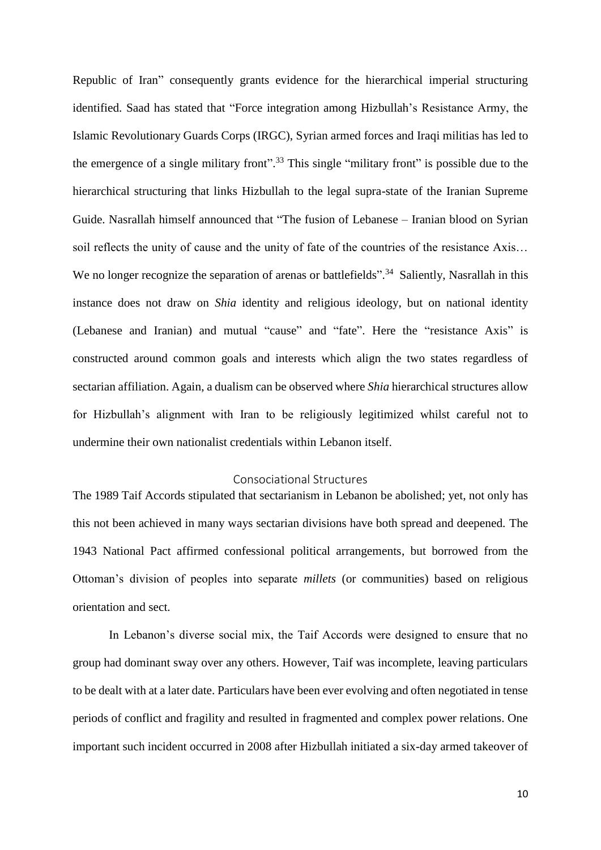Republic of Iran" consequently grants evidence for the hierarchical imperial structuring identified. Saad has stated that "Force integration among Hizbullah's Resistance Army, the Islamic Revolutionary Guards Corps (IRGC), Syrian armed forces and Iraqi militias has led to the emergence of a single military front".<sup>33</sup> This single "military front" is possible due to the hierarchical structuring that links Hizbullah to the legal supra-state of the Iranian Supreme Guide. Nasrallah himself announced that "The fusion of Lebanese – Iranian blood on Syrian soil reflects the unity of cause and the unity of fate of the countries of the resistance Axis… We no longer recognize the separation of arenas or battlefields".<sup>34</sup> Saliently, Nasrallah in this instance does not draw on *Shia* identity and religious ideology, but on national identity (Lebanese and Iranian) and mutual "cause" and "fate". Here the "resistance Axis" is constructed around common goals and interests which align the two states regardless of sectarian affiliation. Again, a dualism can be observed where *Shia* hierarchical structures allow for Hizbullah's alignment with Iran to be religiously legitimized whilst careful not to undermine their own nationalist credentials within Lebanon itself.

# Consociational Structures

The 1989 Taif Accords stipulated that sectarianism in Lebanon be abolished; yet, not only has this not been achieved in many ways sectarian divisions have both spread and deepened. The 1943 National Pact affirmed confessional political arrangements, but borrowed from the Ottoman's division of peoples into separate *millets* (or communities) based on religious orientation and sect.

In Lebanon's diverse social mix, the Taif Accords were designed to ensure that no group had dominant sway over any others. However, Taif was incomplete, leaving particulars to be dealt with at a later date. Particulars have been ever evolving and often negotiated in tense periods of conflict and fragility and resulted in fragmented and complex power relations. One important such incident occurred in 2008 after Hizbullah initiated a six-day armed takeover of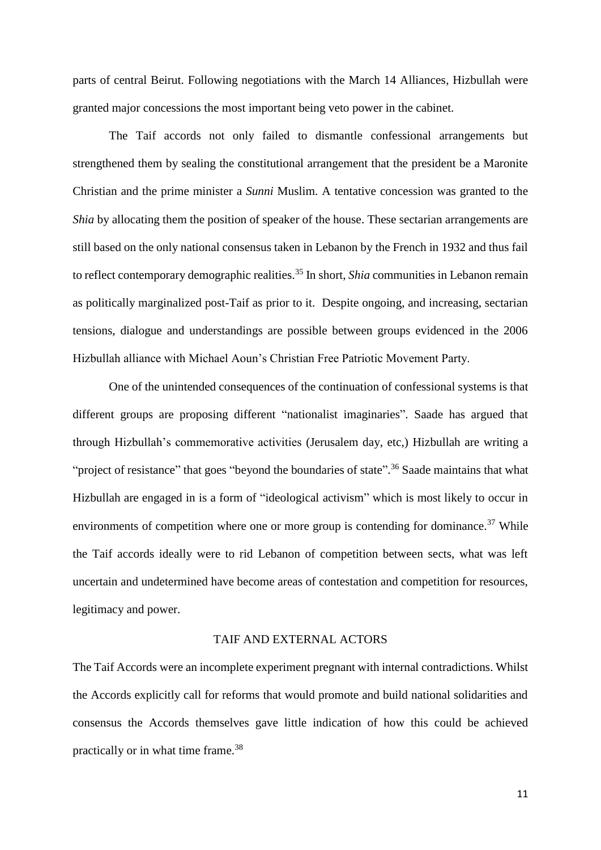parts of central Beirut. Following negotiations with the March 14 Alliances, Hizbullah were granted major concessions the most important being veto power in the cabinet.

The Taif accords not only failed to dismantle confessional arrangements but strengthened them by sealing the constitutional arrangement that the president be a Maronite Christian and the prime minister a *Sunni* Muslim. A tentative concession was granted to the *Shia* by allocating them the position of speaker of the house. These sectarian arrangements are still based on the only national consensus taken in Lebanon by the French in 1932 and thus fail to reflect contemporary demographic realities.<sup>35</sup> In short, *Shia* communities in Lebanon remain as politically marginalized post-Taif as prior to it. Despite ongoing, and increasing, sectarian tensions, dialogue and understandings are possible between groups evidenced in the 2006 Hizbullah alliance with Michael Aoun's Christian Free Patriotic Movement Party.

One of the unintended consequences of the continuation of confessional systems is that different groups are proposing different "nationalist imaginaries". Saade has argued that through Hizbullah's commemorative activities (Jerusalem day, etc,) Hizbullah are writing a "project of resistance" that goes "beyond the boundaries of state".<sup>36</sup> Saade maintains that what Hizbullah are engaged in is a form of "ideological activism" which is most likely to occur in environments of competition where one or more group is contending for dominance.<sup>37</sup> While the Taif accords ideally were to rid Lebanon of competition between sects, what was left uncertain and undetermined have become areas of contestation and competition for resources, legitimacy and power.

# TAIF AND EXTERNAL ACTORS

The Taif Accords were an incomplete experiment pregnant with internal contradictions. Whilst the Accords explicitly call for reforms that would promote and build national solidarities and consensus the Accords themselves gave little indication of how this could be achieved practically or in what time frame.<sup>38</sup>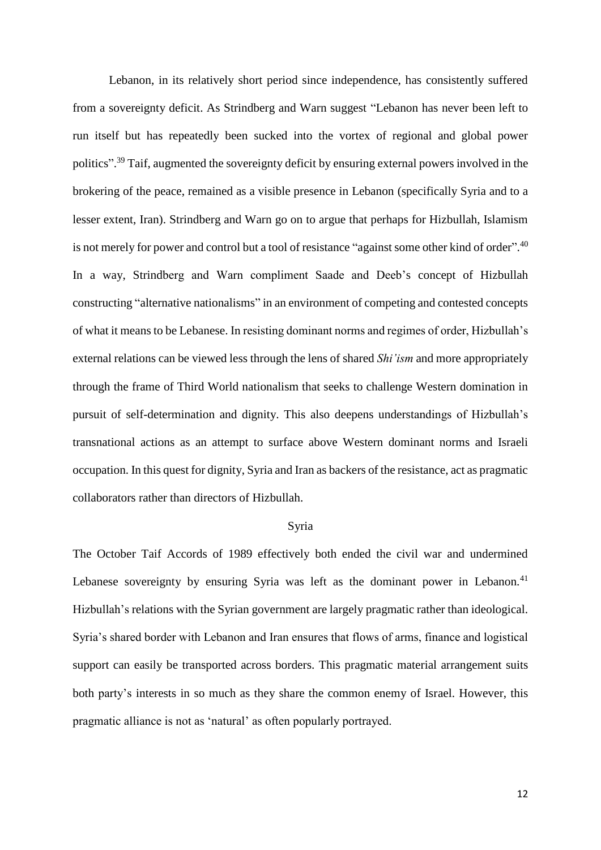Lebanon, in its relatively short period since independence, has consistently suffered from a sovereignty deficit. As Strindberg and Warn suggest "Lebanon has never been left to run itself but has repeatedly been sucked into the vortex of regional and global power politics".<sup>39</sup> Taif, augmented the sovereignty deficit by ensuring external powers involved in the brokering of the peace, remained as a visible presence in Lebanon (specifically Syria and to a lesser extent, Iran). Strindberg and Warn go on to argue that perhaps for Hizbullah, Islamism is not merely for power and control but a tool of resistance "against some other kind of order".<sup>40</sup> In a way, Strindberg and Warn compliment Saade and Deeb's concept of Hizbullah constructing "alternative nationalisms" in an environment of competing and contested concepts of what it means to be Lebanese. In resisting dominant norms and regimes of order, Hizbullah's external relations can be viewed less through the lens of shared *Shi'ism* and more appropriately through the frame of Third World nationalism that seeks to challenge Western domination in pursuit of self-determination and dignity. This also deepens understandings of Hizbullah's transnational actions as an attempt to surface above Western dominant norms and Israeli occupation. In this quest for dignity, Syria and Iran as backers of the resistance, act as pragmatic collaborators rather than directors of Hizbullah.

#### Syria

The October Taif Accords of 1989 effectively both ended the civil war and undermined Lebanese sovereignty by ensuring Syria was left as the dominant power in Lebanon.<sup>41</sup> Hizbullah's relations with the Syrian government are largely pragmatic rather than ideological. Syria's shared border with Lebanon and Iran ensures that flows of arms, finance and logistical support can easily be transported across borders. This pragmatic material arrangement suits both party's interests in so much as they share the common enemy of Israel. However, this pragmatic alliance is not as 'natural' as often popularly portrayed.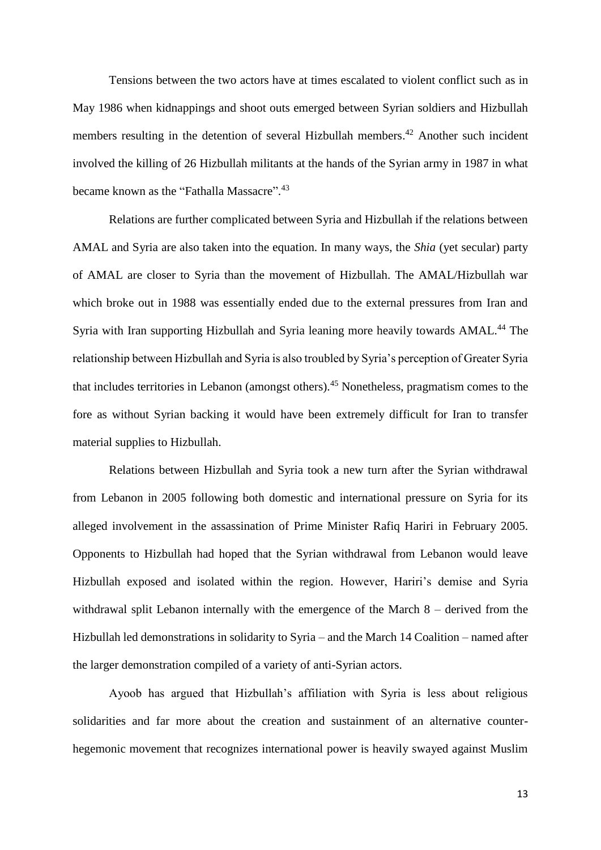Tensions between the two actors have at times escalated to violent conflict such as in May 1986 when kidnappings and shoot outs emerged between Syrian soldiers and Hizbullah members resulting in the detention of several Hizbullah members.<sup>42</sup> Another such incident involved the killing of 26 Hizbullah militants at the hands of the Syrian army in 1987 in what became known as the "Fathalla Massacre".<sup>43</sup>

Relations are further complicated between Syria and Hizbullah if the relations between AMAL and Syria are also taken into the equation. In many ways, the *Shia* (yet secular) party of AMAL are closer to Syria than the movement of Hizbullah. The AMAL/Hizbullah war which broke out in 1988 was essentially ended due to the external pressures from Iran and Syria with Iran supporting Hizbullah and Syria leaning more heavily towards AMAL.<sup>44</sup> The relationship between Hizbullah and Syria is also troubled by Syria's perception of Greater Syria that includes territories in Lebanon (amongst others).<sup>45</sup> Nonetheless, pragmatism comes to the fore as without Syrian backing it would have been extremely difficult for Iran to transfer material supplies to Hizbullah.

Relations between Hizbullah and Syria took a new turn after the Syrian withdrawal from Lebanon in 2005 following both domestic and international pressure on Syria for its alleged involvement in the assassination of Prime Minister Rafiq Hariri in February 2005. Opponents to Hizbullah had hoped that the Syrian withdrawal from Lebanon would leave Hizbullah exposed and isolated within the region. However, Hariri's demise and Syria withdrawal split Lebanon internally with the emergence of the March 8 – derived from the Hizbullah led demonstrations in solidarity to Syria – and the March 14 Coalition – named after the larger demonstration compiled of a variety of anti-Syrian actors.

Ayoob has argued that Hizbullah's affiliation with Syria is less about religious solidarities and far more about the creation and sustainment of an alternative counterhegemonic movement that recognizes international power is heavily swayed against Muslim

13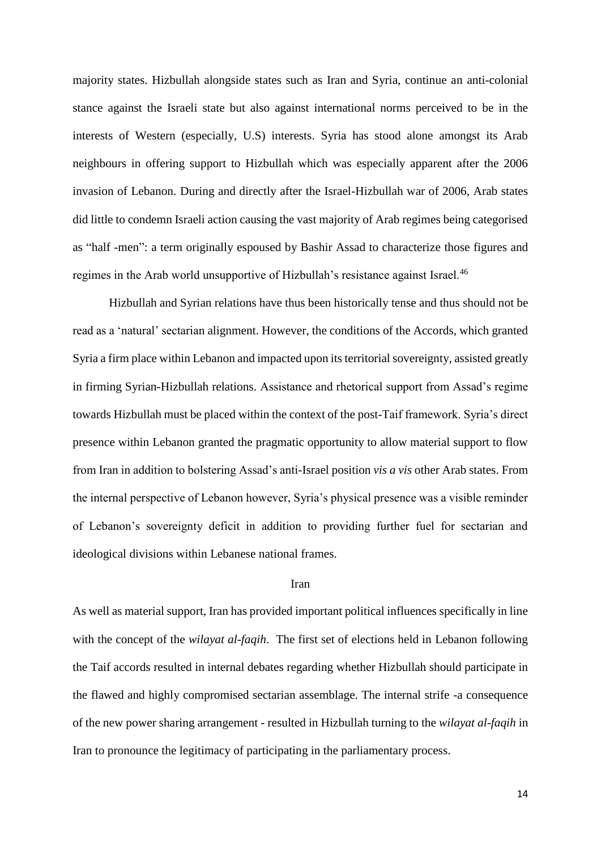majority states. Hizbullah alongside states such as Iran and Syria, continue an anti-colonial stance against the Israeli state but also against international norms perceived to be in the interests of Western (especially, U.S) interests. Syria has stood alone amongst its Arab neighbours in offering support to Hizbullah which was especially apparent after the 2006 invasion of Lebanon. During and directly after the Israel-Hizbullah war of 2006, Arab states did little to condemn Israeli action causing the vast majority of Arab regimes being categorised as "half -men": a term originally espoused by Bashir Assad to characterize those figures and regimes in the Arab world unsupportive of Hizbullah's resistance against Israel.<sup>46</sup>

Hizbullah and Syrian relations have thus been historically tense and thus should not be read as a 'natural' sectarian alignment. However, the conditions of the Accords, which granted Syria a firm place within Lebanon and impacted upon its territorial sovereignty, assisted greatly in firming Syrian-Hizbullah relations. Assistance and rhetorical support from Assad's regime towards Hizbullah must be placed within the context of the post-Taif framework. Syria's direct presence within Lebanon granted the pragmatic opportunity to allow material support to flow from Iran in addition to bolstering Assad's anti-Israel position *vis a vis* other Arab states. From the internal perspective of Lebanon however, Syria's physical presence was a visible reminder of Lebanon's sovereignty deficit in addition to providing further fuel for sectarian and ideological divisions within Lebanese national frames.

### Iran

As well as material support, Iran has provided important political influences specifically in line with the concept of the *wilayat al-faqih*. The first set of elections held in Lebanon following the Taif accords resulted in internal debates regarding whether Hizbullah should participate in the flawed and highly compromised sectarian assemblage. The internal strife -a consequence of the new power sharing arrangement - resulted in Hizbullah turning to the *wilayat al-faqih* in Iran to pronounce the legitimacy of participating in the parliamentary process.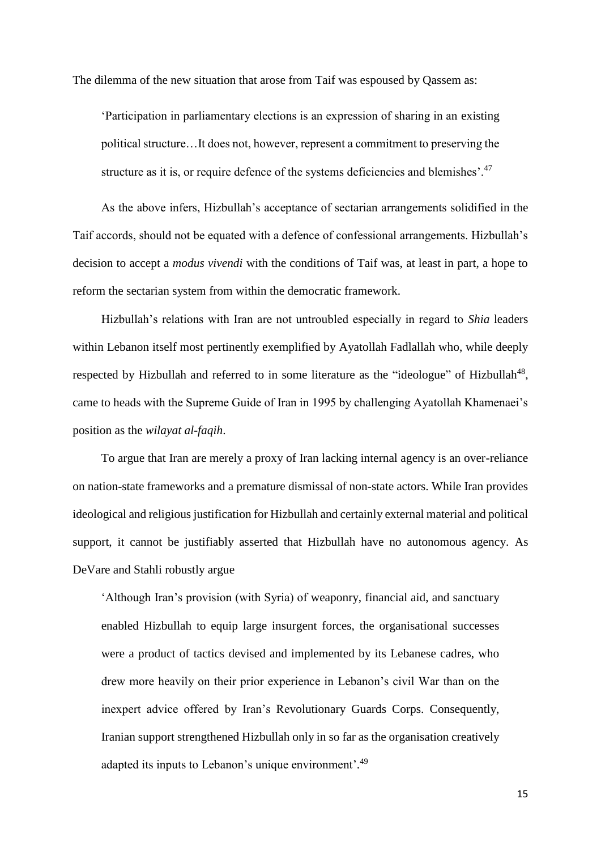The dilemma of the new situation that arose from Taif was espoused by Qassem as:

'Participation in parliamentary elections is an expression of sharing in an existing political structure…It does not, however, represent a commitment to preserving the structure as it is, or require defence of the systems deficiencies and blemishes'.<sup>47</sup>

As the above infers, Hizbullah's acceptance of sectarian arrangements solidified in the Taif accords, should not be equated with a defence of confessional arrangements. Hizbullah's decision to accept a *modus vivendi* with the conditions of Taif was, at least in part, a hope to reform the sectarian system from within the democratic framework.

Hizbullah's relations with Iran are not untroubled especially in regard to *Shia* leaders within Lebanon itself most pertinently exemplified by Ayatollah Fadlallah who, while deeply respected by Hizbullah and referred to in some literature as the "ideologue" of Hizbullah<sup>48</sup>, came to heads with the Supreme Guide of Iran in 1995 by challenging Ayatollah Khamenaei's position as the *wilayat al-faqih*.

To argue that Iran are merely a proxy of Iran lacking internal agency is an over-reliance on nation-state frameworks and a premature dismissal of non-state actors. While Iran provides ideological and religious justification for Hizbullah and certainly external material and political support, it cannot be justifiably asserted that Hizbullah have no autonomous agency. As DeVare and Stahli robustly argue

'Although Iran's provision (with Syria) of weaponry, financial aid, and sanctuary enabled Hizbullah to equip large insurgent forces, the organisational successes were a product of tactics devised and implemented by its Lebanese cadres, who drew more heavily on their prior experience in Lebanon's civil War than on the inexpert advice offered by Iran's Revolutionary Guards Corps. Consequently, Iranian support strengthened Hizbullah only in so far as the organisation creatively adapted its inputs to Lebanon's unique environment'.<sup>49</sup>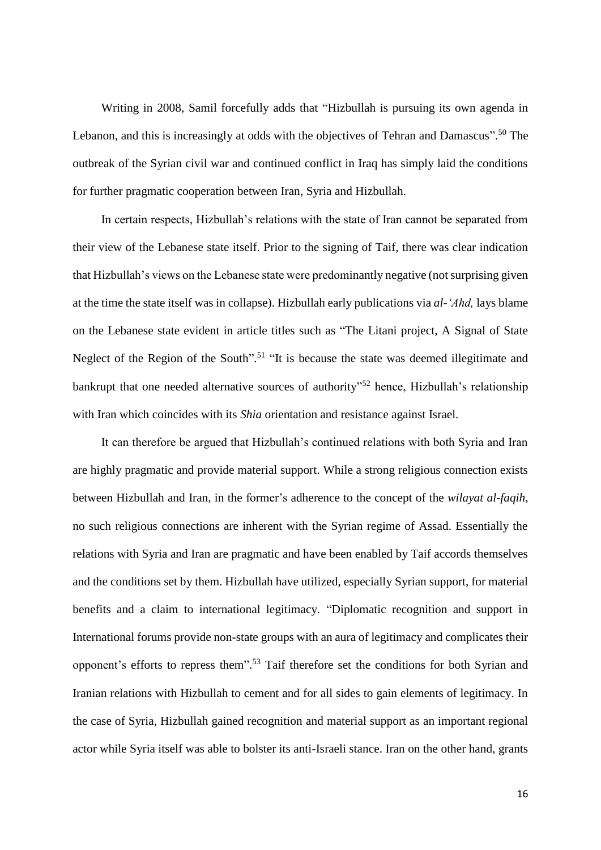Writing in 2008, Samil forcefully adds that "Hizbullah is pursuing its own agenda in Lebanon, and this is increasingly at odds with the objectives of Tehran and Damascus".<sup>50</sup> The outbreak of the Syrian civil war and continued conflict in Iraq has simply laid the conditions for further pragmatic cooperation between Iran, Syria and Hizbullah.

In certain respects, Hizbullah's relations with the state of Iran cannot be separated from their view of the Lebanese state itself. Prior to the signing of Taif, there was clear indication that Hizbullah's views on the Lebanese state were predominantly negative (not surprising given at the time the state itself was in collapse). Hizbullah early publications via *al-'Ahd,* lays blame on the Lebanese state evident in article titles such as "The Litani project, A Signal of State Neglect of the Region of the South".<sup>51</sup> "It is because the state was deemed illegitimate and bankrupt that one needed alternative sources of authority"<sup>52</sup> hence, Hizbullah's relationship with Iran which coincides with its *Shia* orientation and resistance against Israel.

It can therefore be argued that Hizbullah's continued relations with both Syria and Iran are highly pragmatic and provide material support. While a strong religious connection exists between Hizbullah and Iran, in the former's adherence to the concept of the *wilayat al-faqih*, no such religious connections are inherent with the Syrian regime of Assad. Essentially the relations with Syria and Iran are pragmatic and have been enabled by Taif accords themselves and the conditions set by them. Hizbullah have utilized, especially Syrian support, for material benefits and a claim to international legitimacy. "Diplomatic recognition and support in International forums provide non-state groups with an aura of legitimacy and complicates their opponent's efforts to repress them". <sup>53</sup> Taif therefore set the conditions for both Syrian and Iranian relations with Hizbullah to cement and for all sides to gain elements of legitimacy. In the case of Syria, Hizbullah gained recognition and material support as an important regional actor while Syria itself was able to bolster its anti-Israeli stance. Iran on the other hand, grants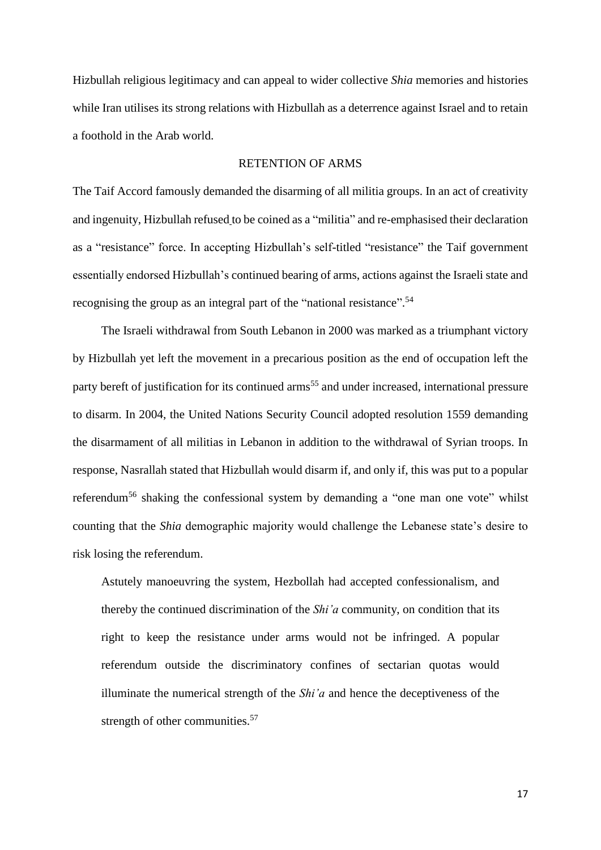Hizbullah religious legitimacy and can appeal to wider collective *Shia* memories and histories while Iran utilises its strong relations with Hizbullah as a deterrence against Israel and to retain a foothold in the Arab world.

# RETENTION OF ARMS

The Taif Accord famously demanded the disarming of all militia groups. In an act of creativity and ingenuity, Hizbullah refused to be coined as a "militia" and re-emphasised their declaration as a "resistance" force. In accepting Hizbullah's self-titled "resistance" the Taif government essentially endorsed Hizbullah's continued bearing of arms, actions against the Israeli state and recognising the group as an integral part of the "national resistance".<sup>54</sup>

The Israeli withdrawal from South Lebanon in 2000 was marked as a triumphant victory by Hizbullah yet left the movement in a precarious position as the end of occupation left the party bereft of justification for its continued arms<sup>55</sup> and under increased, international pressure to disarm. In 2004, the United Nations Security Council adopted resolution 1559 demanding the disarmament of all militias in Lebanon in addition to the withdrawal of Syrian troops. In response, Nasrallah stated that Hizbullah would disarm if, and only if, this was put to a popular referendum<sup>56</sup> shaking the confessional system by demanding a "one man one vote" whilst counting that the *Shia* demographic majority would challenge the Lebanese state's desire to risk losing the referendum.

Astutely manoeuvring the system, Hezbollah had accepted confessionalism, and thereby the continued discrimination of the *Shi'a* community, on condition that its right to keep the resistance under arms would not be infringed. A popular referendum outside the discriminatory confines of sectarian quotas would illuminate the numerical strength of the *Shi'a* and hence the deceptiveness of the strength of other communities.<sup>57</sup>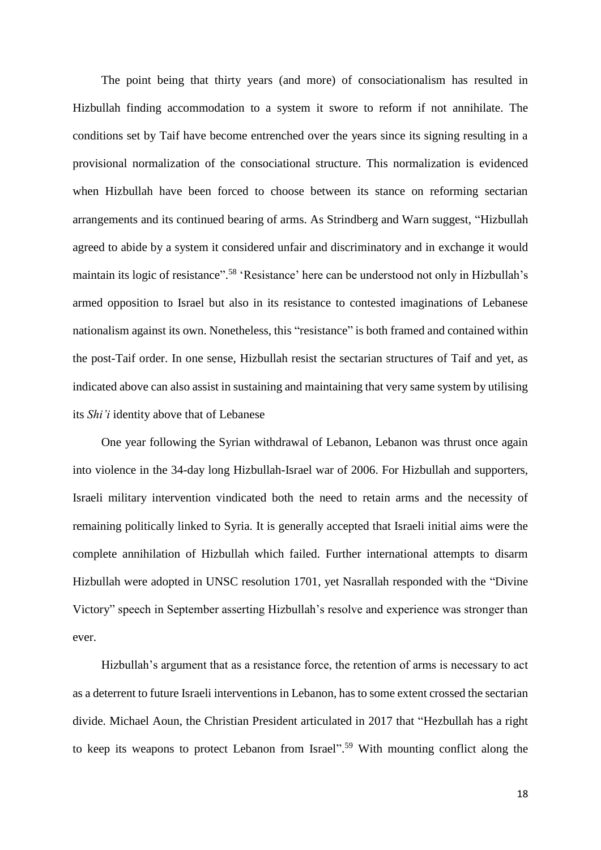The point being that thirty years (and more) of consociationalism has resulted in Hizbullah finding accommodation to a system it swore to reform if not annihilate. The conditions set by Taif have become entrenched over the years since its signing resulting in a provisional normalization of the consociational structure. This normalization is evidenced when Hizbullah have been forced to choose between its stance on reforming sectarian arrangements and its continued bearing of arms. As Strindberg and Warn suggest, "Hizbullah agreed to abide by a system it considered unfair and discriminatory and in exchange it would maintain its logic of resistance".<sup>58</sup> 'Resistance' here can be understood not only in Hizbullah's armed opposition to Israel but also in its resistance to contested imaginations of Lebanese nationalism against its own. Nonetheless, this "resistance" is both framed and contained within the post-Taif order. In one sense, Hizbullah resist the sectarian structures of Taif and yet, as indicated above can also assist in sustaining and maintaining that very same system by utilising its *Shi'i* identity above that of Lebanese

One year following the Syrian withdrawal of Lebanon, Lebanon was thrust once again into violence in the 34-day long Hizbullah-Israel war of 2006. For Hizbullah and supporters, Israeli military intervention vindicated both the need to retain arms and the necessity of remaining politically linked to Syria. It is generally accepted that Israeli initial aims were the complete annihilation of Hizbullah which failed. Further international attempts to disarm Hizbullah were adopted in UNSC resolution 1701, yet Nasrallah responded with the "Divine Victory" speech in September asserting Hizbullah's resolve and experience was stronger than ever.

Hizbullah's argument that as a resistance force, the retention of arms is necessary to act as a deterrent to future Israeli interventions in Lebanon, has to some extent crossed the sectarian divide. Michael Aoun, the Christian President articulated in 2017 that "Hezbullah has a right to keep its weapons to protect Lebanon from Israel".<sup>59</sup> With mounting conflict along the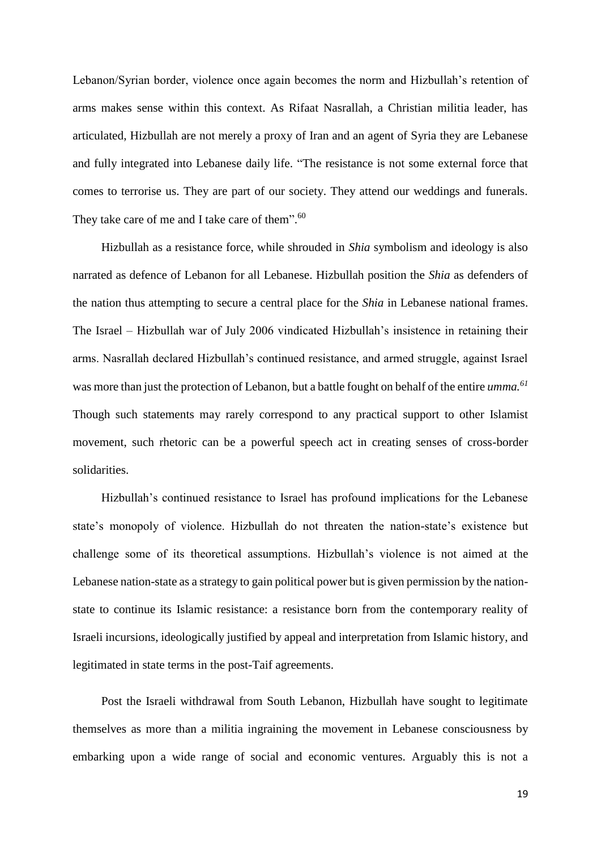Lebanon/Syrian border, violence once again becomes the norm and Hizbullah's retention of arms makes sense within this context. As Rifaat Nasrallah, a Christian militia leader, has articulated, Hizbullah are not merely a proxy of Iran and an agent of Syria they are Lebanese and fully integrated into Lebanese daily life. "The resistance is not some external force that comes to terrorise us. They are part of our society. They attend our weddings and funerals. They take care of me and I take care of them".<sup>60</sup>

Hizbullah as a resistance force, while shrouded in *Shia* symbolism and ideology is also narrated as defence of Lebanon for all Lebanese. Hizbullah position the *Shia* as defenders of the nation thus attempting to secure a central place for the *Shia* in Lebanese national frames. The Israel – Hizbullah war of July 2006 vindicated Hizbullah's insistence in retaining their arms. Nasrallah declared Hizbullah's continued resistance, and armed struggle, against Israel was more than just the protection of Lebanon, but a battle fought on behalf of the entire *umma.<sup>61</sup>* Though such statements may rarely correspond to any practical support to other Islamist movement, such rhetoric can be a powerful speech act in creating senses of cross-border solidarities.

Hizbullah's continued resistance to Israel has profound implications for the Lebanese state's monopoly of violence. Hizbullah do not threaten the nation-state's existence but challenge some of its theoretical assumptions. Hizbullah's violence is not aimed at the Lebanese nation-state as a strategy to gain political power but is given permission by the nationstate to continue its Islamic resistance: a resistance born from the contemporary reality of Israeli incursions, ideologically justified by appeal and interpretation from Islamic history, and legitimated in state terms in the post-Taif agreements.

Post the Israeli withdrawal from South Lebanon, Hizbullah have sought to legitimate themselves as more than a militia ingraining the movement in Lebanese consciousness by embarking upon a wide range of social and economic ventures. Arguably this is not a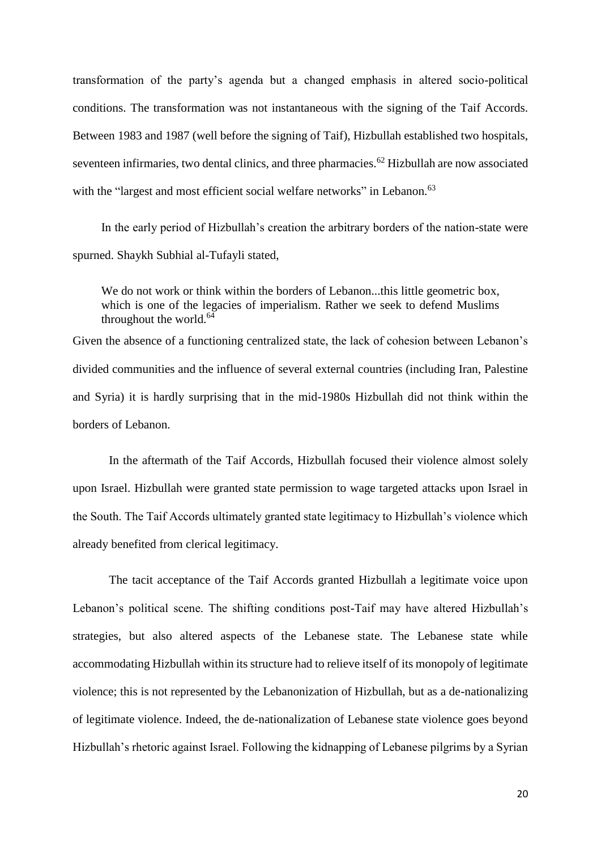transformation of the party's agenda but a changed emphasis in altered socio-political conditions. The transformation was not instantaneous with the signing of the Taif Accords. Between 1983 and 1987 (well before the signing of Taif), Hizbullah established two hospitals, seventeen infirmaries, two dental clinics, and three pharmacies.<sup>62</sup> Hizbullah are now associated with the "largest and most efficient social welfare networks" in Lebanon.<sup>63</sup>

In the early period of Hizbullah's creation the arbitrary borders of the nation-state were spurned. Shaykh Subhial al-Tufayli stated,

We do not work or think within the borders of Lebanon...this little geometric box, which is one of the legacies of imperialism. Rather we seek to defend Muslims throughout the world. $64$ 

Given the absence of a functioning centralized state, the lack of cohesion between Lebanon's divided communities and the influence of several external countries (including Iran, Palestine and Syria) it is hardly surprising that in the mid-1980s Hizbullah did not think within the borders of Lebanon.

In the aftermath of the Taif Accords, Hizbullah focused their violence almost solely upon Israel. Hizbullah were granted state permission to wage targeted attacks upon Israel in the South. The Taif Accords ultimately granted state legitimacy to Hizbullah's violence which already benefited from clerical legitimacy.

The tacit acceptance of the Taif Accords granted Hizbullah a legitimate voice upon Lebanon's political scene. The shifting conditions post-Taif may have altered Hizbullah's strategies, but also altered aspects of the Lebanese state. The Lebanese state while accommodating Hizbullah within its structure had to relieve itself of its monopoly of legitimate violence; this is not represented by the Lebanonization of Hizbullah, but as a de-nationalizing of legitimate violence. Indeed, the de-nationalization of Lebanese state violence goes beyond Hizbullah's rhetoric against Israel. Following the kidnapping of Lebanese pilgrims by a Syrian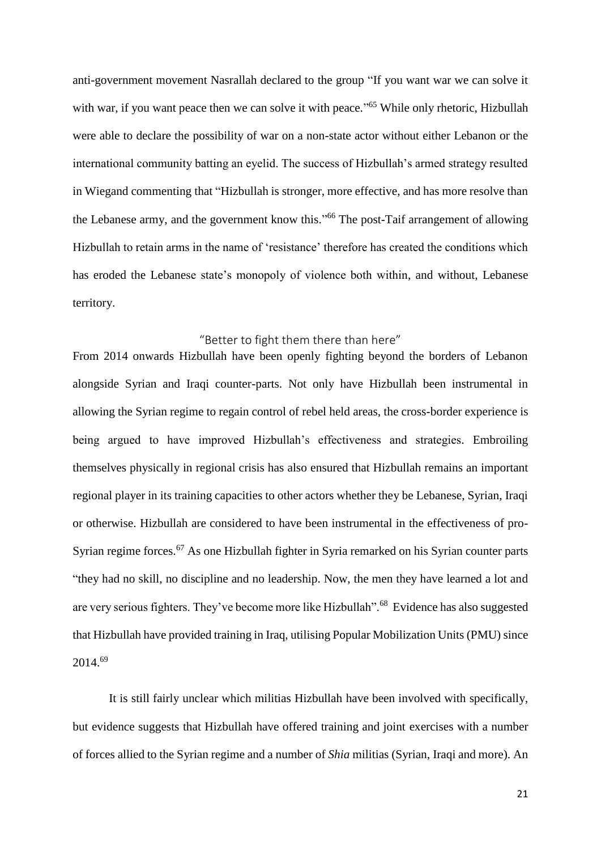anti-government movement Nasrallah declared to the group "If you want war we can solve it with war, if you want peace then we can solve it with peace."<sup>65</sup> While only rhetoric, Hizbullah were able to declare the possibility of war on a non-state actor without either Lebanon or the international community batting an eyelid. The success of Hizbullah's armed strategy resulted in Wiegand commenting that "Hizbullah is stronger, more effective, and has more resolve than the Lebanese army, and the government know this."<sup>66</sup> The post-Taif arrangement of allowing Hizbullah to retain arms in the name of 'resistance' therefore has created the conditions which has eroded the Lebanese state's monopoly of violence both within, and without, Lebanese territory.

# "Better to fight them there than here"

From 2014 onwards Hizbullah have been openly fighting beyond the borders of Lebanon alongside Syrian and Iraqi counter-parts. Not only have Hizbullah been instrumental in allowing the Syrian regime to regain control of rebel held areas, the cross-border experience is being argued to have improved Hizbullah's effectiveness and strategies. Embroiling themselves physically in regional crisis has also ensured that Hizbullah remains an important regional player in its training capacities to other actors whether they be Lebanese, Syrian, Iraqi or otherwise. Hizbullah are considered to have been instrumental in the effectiveness of pro-Syrian regime forces.<sup>67</sup> As one Hizbullah fighter in Syria remarked on his Syrian counter parts "they had no skill, no discipline and no leadership. Now, the men they have learned a lot and are very serious fighters. They've become more like Hizbullah".<sup>68</sup> Evidence has also suggested that Hizbullah have provided training in Iraq, utilising Popular Mobilization Units (PMU) since 2014.<sup>69</sup>

It is still fairly unclear which militias Hizbullah have been involved with specifically, but evidence suggests that Hizbullah have offered training and joint exercises with a number of forces allied to the Syrian regime and a number of *Shia* militias (Syrian, Iraqi and more). An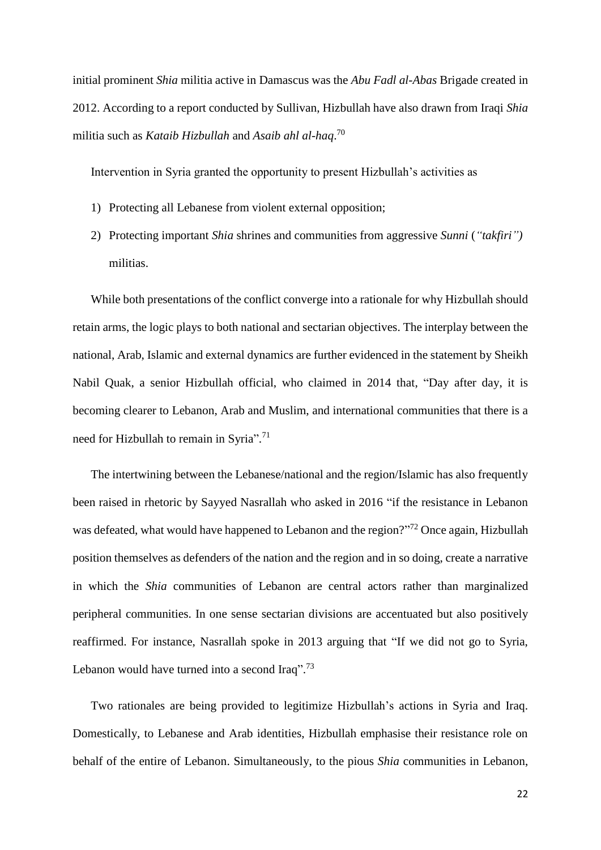initial prominent *Shia* militia active in Damascus was the *Abu Fadl al-Abas* Brigade created in 2012. According to a report conducted by Sullivan, Hizbullah have also drawn from Iraqi *Shia* militia such as *Kataib Hizbullah* and *Asaib ahl al-haq*. 70

Intervention in Syria granted the opportunity to present Hizbullah's activities as

- 1) Protecting all Lebanese from violent external opposition;
- 2) Protecting important *Shia* shrines and communities from aggressive *Sunni* (*"takfiri")*  militias.

While both presentations of the conflict converge into a rationale for why Hizbullah should retain arms, the logic plays to both national and sectarian objectives. The interplay between the national, Arab, Islamic and external dynamics are further evidenced in the statement by Sheikh Nabil Quak, a senior Hizbullah official, who claimed in 2014 that, "Day after day, it is becoming clearer to Lebanon, Arab and Muslim, and international communities that there is a need for Hizbullah to remain in Syria".<sup>71</sup>

The intertwining between the Lebanese/national and the region/Islamic has also frequently been raised in rhetoric by Sayyed Nasrallah who asked in 2016 "if the resistance in Lebanon was defeated, what would have happened to Lebanon and the region?"<sup>72</sup> Once again, Hizbullah position themselves as defenders of the nation and the region and in so doing, create a narrative in which the *Shia* communities of Lebanon are central actors rather than marginalized peripheral communities. In one sense sectarian divisions are accentuated but also positively reaffirmed. For instance, Nasrallah spoke in 2013 arguing that "If we did not go to Syria, Lebanon would have turned into a second Iraq".<sup>73</sup>

Two rationales are being provided to legitimize Hizbullah's actions in Syria and Iraq. Domestically, to Lebanese and Arab identities, Hizbullah emphasise their resistance role on behalf of the entire of Lebanon. Simultaneously, to the pious *Shia* communities in Lebanon,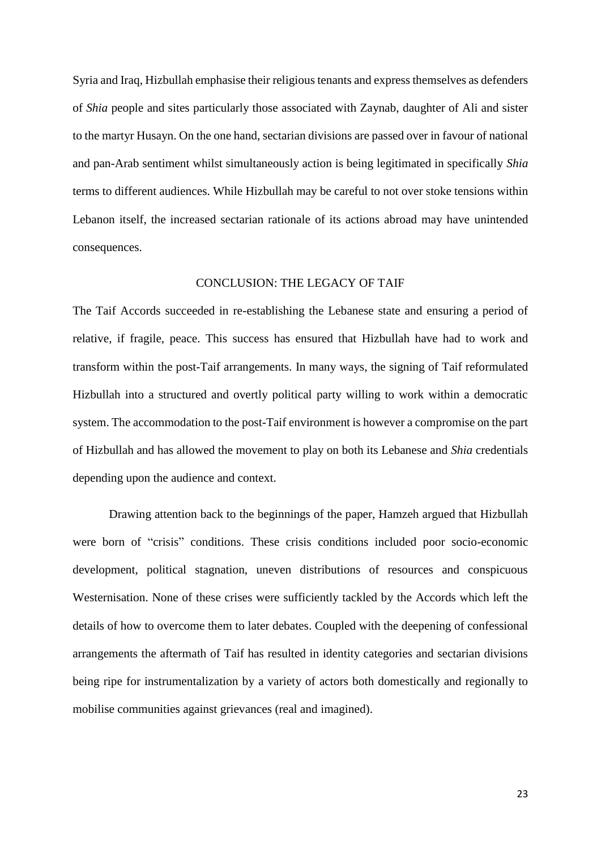Syria and Iraq, Hizbullah emphasise their religious tenants and express themselves as defenders of *Shia* people and sites particularly those associated with Zaynab, daughter of Ali and sister to the martyr Husayn. On the one hand, sectarian divisions are passed over in favour of national and pan-Arab sentiment whilst simultaneously action is being legitimated in specifically *Shia*  terms to different audiences. While Hizbullah may be careful to not over stoke tensions within Lebanon itself, the increased sectarian rationale of its actions abroad may have unintended consequences.

## CONCLUSION: THE LEGACY OF TAIF

The Taif Accords succeeded in re-establishing the Lebanese state and ensuring a period of relative, if fragile, peace. This success has ensured that Hizbullah have had to work and transform within the post-Taif arrangements. In many ways, the signing of Taif reformulated Hizbullah into a structured and overtly political party willing to work within a democratic system. The accommodation to the post-Taif environment is however a compromise on the part of Hizbullah and has allowed the movement to play on both its Lebanese and *Shia* credentials depending upon the audience and context.

Drawing attention back to the beginnings of the paper, Hamzeh argued that Hizbullah were born of "crisis" conditions. These crisis conditions included poor socio-economic development, political stagnation, uneven distributions of resources and conspicuous Westernisation. None of these crises were sufficiently tackled by the Accords which left the details of how to overcome them to later debates. Coupled with the deepening of confessional arrangements the aftermath of Taif has resulted in identity categories and sectarian divisions being ripe for instrumentalization by a variety of actors both domestically and regionally to mobilise communities against grievances (real and imagined).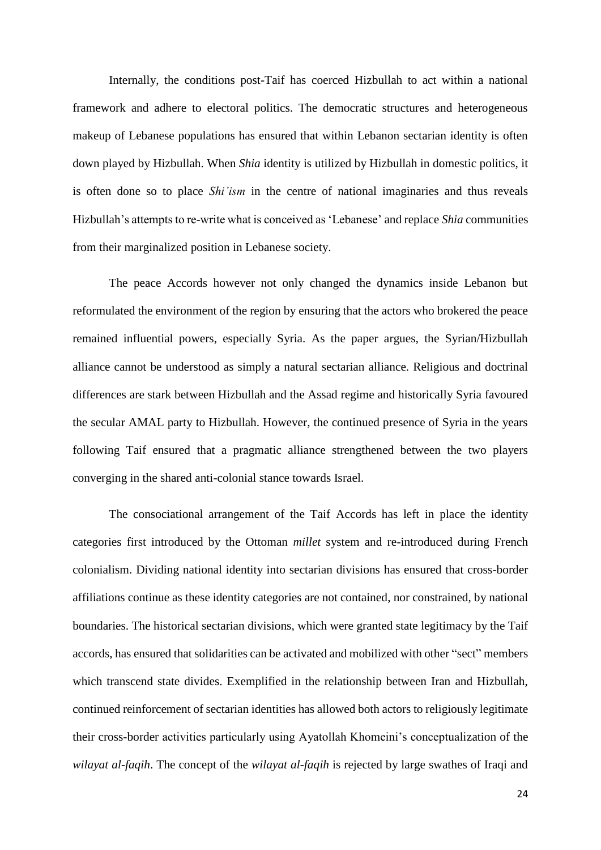Internally, the conditions post-Taif has coerced Hizbullah to act within a national framework and adhere to electoral politics. The democratic structures and heterogeneous makeup of Lebanese populations has ensured that within Lebanon sectarian identity is often down played by Hizbullah. When *Shia* identity is utilized by Hizbullah in domestic politics, it is often done so to place *Shi'ism* in the centre of national imaginaries and thus reveals Hizbullah's attempts to re-write what is conceived as 'Lebanese' and replace *Shia* communities from their marginalized position in Lebanese society.

The peace Accords however not only changed the dynamics inside Lebanon but reformulated the environment of the region by ensuring that the actors who brokered the peace remained influential powers, especially Syria. As the paper argues, the Syrian/Hizbullah alliance cannot be understood as simply a natural sectarian alliance. Religious and doctrinal differences are stark between Hizbullah and the Assad regime and historically Syria favoured the secular AMAL party to Hizbullah. However, the continued presence of Syria in the years following Taif ensured that a pragmatic alliance strengthened between the two players converging in the shared anti-colonial stance towards Israel.

The consociational arrangement of the Taif Accords has left in place the identity categories first introduced by the Ottoman *millet* system and re-introduced during French colonialism. Dividing national identity into sectarian divisions has ensured that cross-border affiliations continue as these identity categories are not contained, nor constrained, by national boundaries. The historical sectarian divisions, which were granted state legitimacy by the Taif accords, has ensured that solidarities can be activated and mobilized with other "sect" members which transcend state divides. Exemplified in the relationship between Iran and Hizbullah, continued reinforcement of sectarian identities has allowed both actors to religiously legitimate their cross-border activities particularly using Ayatollah Khomeini's conceptualization of the *wilayat al-faqih*. The concept of the *wilayat al-faqih* is rejected by large swathes of Iraqi and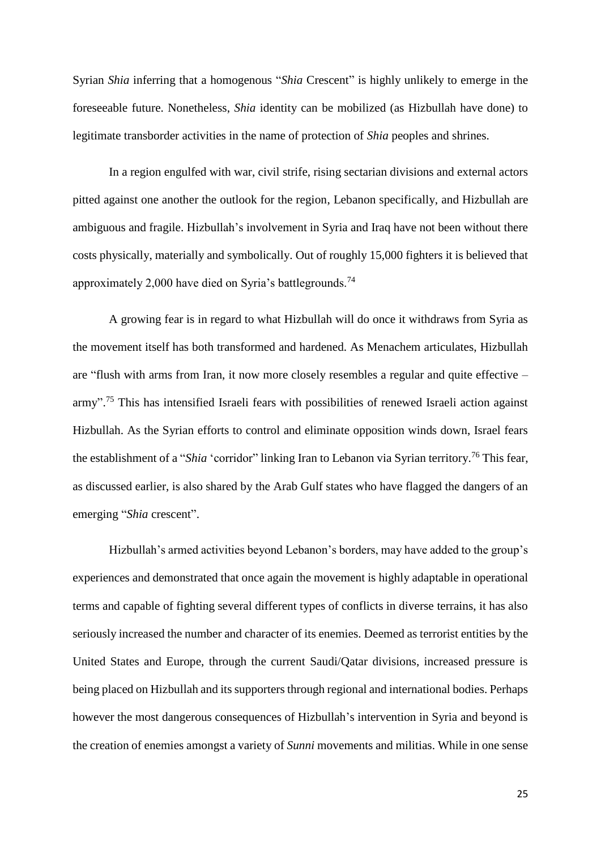Syrian *Shia* inferring that a homogenous "*Shia* Crescent" is highly unlikely to emerge in the foreseeable future. Nonetheless, *Shia* identity can be mobilized (as Hizbullah have done) to legitimate transborder activities in the name of protection of *Shia* peoples and shrines.

In a region engulfed with war, civil strife, rising sectarian divisions and external actors pitted against one another the outlook for the region, Lebanon specifically, and Hizbullah are ambiguous and fragile. Hizbullah's involvement in Syria and Iraq have not been without there costs physically, materially and symbolically. Out of roughly 15,000 fighters it is believed that approximately 2,000 have died on Syria's battlegrounds.<sup>74</sup>

A growing fear is in regard to what Hizbullah will do once it withdraws from Syria as the movement itself has both transformed and hardened. As Menachem articulates, Hizbullah are "flush with arms from Iran, it now more closely resembles a regular and quite effective – army".<sup>75</sup> This has intensified Israeli fears with possibilities of renewed Israeli action against Hizbullah. As the Syrian efforts to control and eliminate opposition winds down, Israel fears the establishment of a "*Shia* 'corridor" linking Iran to Lebanon via Syrian territory.<sup>76</sup> This fear, as discussed earlier, is also shared by the Arab Gulf states who have flagged the dangers of an emerging "*Shia* crescent".

Hizbullah's armed activities beyond Lebanon's borders, may have added to the group's experiences and demonstrated that once again the movement is highly adaptable in operational terms and capable of fighting several different types of conflicts in diverse terrains, it has also seriously increased the number and character of its enemies. Deemed as terrorist entities by the United States and Europe, through the current Saudi/Qatar divisions, increased pressure is being placed on Hizbullah and its supporters through regional and international bodies. Perhaps however the most dangerous consequences of Hizbullah's intervention in Syria and beyond is the creation of enemies amongst a variety of *Sunni* movements and militias. While in one sense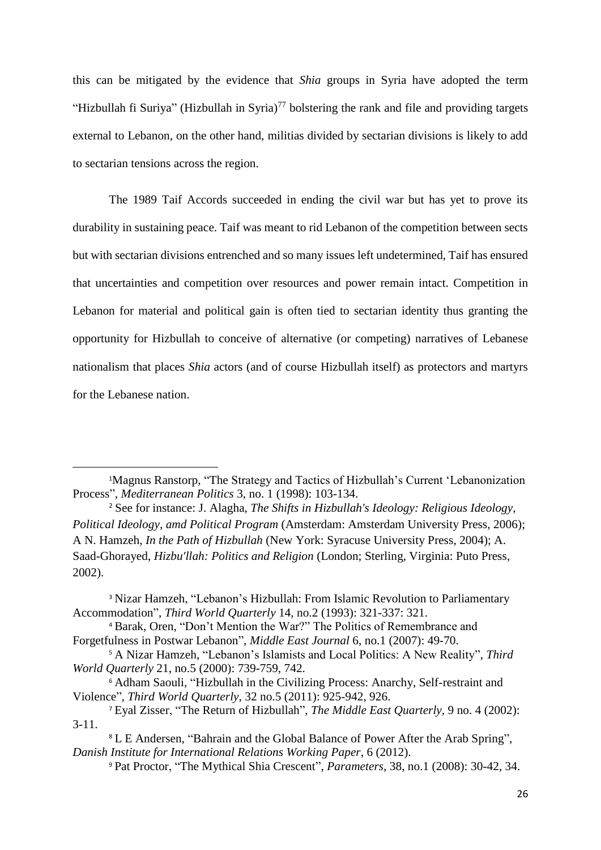this can be mitigated by the evidence that *Shia* groups in Syria have adopted the term "Hizbullah fi Suriya" (Hizbullah in Syria)<sup>77</sup> bolstering the rank and file and providing targets external to Lebanon, on the other hand, militias divided by sectarian divisions is likely to add to sectarian tensions across the region.

The 1989 Taif Accords succeeded in ending the civil war but has yet to prove its durability in sustaining peace. Taif was meant to rid Lebanon of the competition between sects but with sectarian divisions entrenched and so many issues left undetermined, Taif has ensured that uncertainties and competition over resources and power remain intact. Competition in Lebanon for material and political gain is often tied to sectarian identity thus granting the opportunity for Hizbullah to conceive of alternative (or competing) narratives of Lebanese nationalism that places *Shia* actors (and of course Hizbullah itself) as protectors and martyrs for the Lebanese nation.

**.** 

<sup>1</sup>Magnus Ranstorp, "The Strategy and Tactics of Hizbullah's Current 'Lebanonization Process", *Mediterranean Politics* 3, no. 1 (1998): 103-134.

<sup>2</sup> See for instance: J. Alagha, *The Shifts in Hizbullah's Ideology: Religious Ideology, Political Ideology, amd Political Program* (Amsterdam: Amsterdam University Press, 2006); A N. Hamzeh, *In the Path of Hizbullah* (New York: Syracuse University Press, 2004); A. Saad-Ghorayed, *Hizbu'llah: Politics and Religion* (London; Sterling, Virginia: Puto Press, 2002).

<sup>&</sup>lt;sup>3</sup> Nizar Hamzeh, "Lebanon's Hizbullah: From Islamic Revolution to Parliamentary Accommodation", *Third World Quarterly* 14, no.2 (1993): 321-337: 321.

<sup>4</sup> Barak, Oren, "Don't Mention the War?" The Politics of Remembrance and Forgetfulness in Postwar Lebanon", *Middle East Journal* 6, no.1 (2007): 49-70.

<sup>5</sup> A Nizar Hamzeh, "Lebanon's Islamists and Local Politics: A New Reality", *Third World Quarterly* 21, no.5 (2000): 739-759, 742.

<sup>6</sup> Adham Saouli, "Hizbullah in the Civilizing Process: Anarchy, Self-restraint and Violence", *Third World Quarterly,* 32 no.5 (2011): 925-942, 926.

<sup>7</sup> Eyal Zisser, "The Return of Hizbullah", *The Middle East Quarterly,* 9 no. 4 (2002): 3-11.

<sup>&</sup>lt;sup>8</sup> L E Andersen, "Bahrain and the Global Balance of Power After the Arab Spring", *Danish Institute for International Relations Working Paper*, 6 (2012).

<sup>9</sup> Pat Proctor, "The Mythical Shia Crescent", *Parameters,* 38, no.1 (2008): 30-42, 34.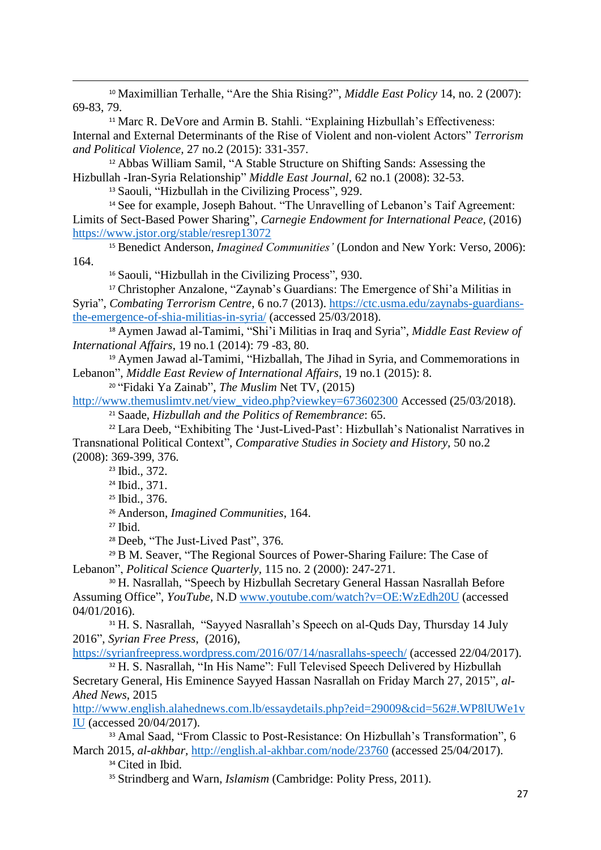<sup>10</sup> Maximillian Terhalle, "Are the Shia Rising?", *Middle East Policy* 14, no. 2 (2007): 69-83, 79.

<sup>11</sup> Marc R. DeVore and Armin B. Stahli. "Explaining Hizbullah's Effectiveness: Internal and External Determinants of the Rise of Violent and non-violent Actors" *Terrorism and Political Violence,* 27 no.2 (2015): 331-357.

<sup>12</sup> Abbas William Samil, "A Stable Structure on Shifting Sands: Assessing the Hizbullah -Iran-Syria Relationship" *Middle East Journal,* 62 no.1 (2008): 32-53.

<sup>13</sup> Saouli, "Hizbullah in the Civilizing Process", 929.

<sup>14</sup> See for example, Joseph Bahout. "The Unravelling of Lebanon's Taif Agreement: Limits of Sect-Based Power Sharing", *Carnegie Endowment for International Peace,* (2016) <https://www.jstor.org/stable/resrep13072>

<sup>15</sup> Benedict Anderson, *Imagined Communities'* (London and New York: Verso, 2006): 164.

<sup>16</sup> Saouli, "Hizbullah in the Civilizing Process", 930.

<sup>17</sup> Christopher Anzalone, "Zaynab's Guardians: The Emergence of Shi'a Militias in Syria", *Combating Terrorism Centre*, 6 no.7 (2013). [https://ctc.usma.edu/zaynabs-guardians](https://ctc.usma.edu/zaynabs-guardians-the-emergence-of-shia-militias-in-syria/)[the-emergence-of-shia-militias-in-syria/](https://ctc.usma.edu/zaynabs-guardians-the-emergence-of-shia-militias-in-syria/) (accessed 25/03/2018).

<sup>18</sup> Aymen Jawad al-Tamimi, "Shi'i Militias in Iraq and Syria", *Middle East Review of International Affairs*, 19 no.1 (2014): 79 -83, 80.

<sup>19</sup> Aymen Jawad al-Tamimi, "Hizballah, The Jihad in Syria, and Commemorations in Lebanon", *Middle East Review of International Affairs*, 19 no.1 (2015): 8.

<sup>20</sup> "Fidaki Ya Zainab", *The Muslim* Net TV, (2015)

[http://www.themuslimtv.net/view\\_video.php?viewkey=673602300](http://www.themuslimtv.net/view_video.php?viewkey=673602300) Accessed (25/03/2018).

<sup>21</sup> Saade, *Hizbullah and the Politics of Remembrance*: 65.

<sup>22</sup> Lara Deeb, "Exhibiting The 'Just-Lived-Past': Hizbullah's Nationalist Narratives in Transnational Political Context", *Comparative Studies in Society and History,* 50 no.2 (2008): 369-399, 376.

<sup>23</sup> Ibid., 372.

<sup>24</sup> Ibid., 371.

<sup>25</sup> Ibid., 376.

<sup>26</sup> Anderson, *Imagined Communities*, 164.

<sup>27</sup> Ibid.

**.** 

<sup>28</sup> Deeb, "The Just-Lived Past", 376.

<sup>29</sup> B M. Seaver, "The Regional Sources of Power-Sharing Failure: The Case of Lebanon", *Political Science Quarterly,* 115 no. 2 (2000): 247-271.

<sup>30</sup> H. Nasrallah, "Speech by Hizbullah Secretary General Hassan Nasrallah Before Assuming Office", *YouTube,* N.D [www.youtube.com/watch?v=OE:WzEdh20U](http://www.youtube.com/watch?v=OE:WzEdh20U) (accessed 04/01/2016).

<sup>31</sup> H. S. Nasrallah, "Sayyed Nasrallah's Speech on al-Quds Day, Thursday 14 July 2016", *Syrian Free Press*, (2016),

<https://syrianfreepress.wordpress.com/2016/07/14/nasrallahs-speech/> (accessed 22/04/2017).

<sup>32</sup> H. S. Nasrallah, "In His Name": Full Televised Speech Delivered by Hizbullah Secretary General, His Eminence Sayyed Hassan Nasrallah on Friday March 27, 2015", *al-Ahed News*, 2015

[http://www.english.alahednews.com.lb/essaydetails.php?eid=29009&cid=562#.WP8lUWe1v](http://www.english.alahednews.com.lb/essaydetails.php?eid=29009&cid=562#.WP8lUWe1vIU) [IU](http://www.english.alahednews.com.lb/essaydetails.php?eid=29009&cid=562#.WP8lUWe1vIU) (accessed 20/04/2017).

<sup>33</sup> Amal Saad, "From Classic to Post-Resistance: On Hizbullah's Transformation", 6 March 2015, *al-akhbar,* <http://english.al-akhbar.com/node/23760> (accessed 25/04/2017).

<sup>34</sup> Cited in Ibid.

<sup>35</sup> Strindberg and Warn, *Islamism* (Cambridge: Polity Press, 2011).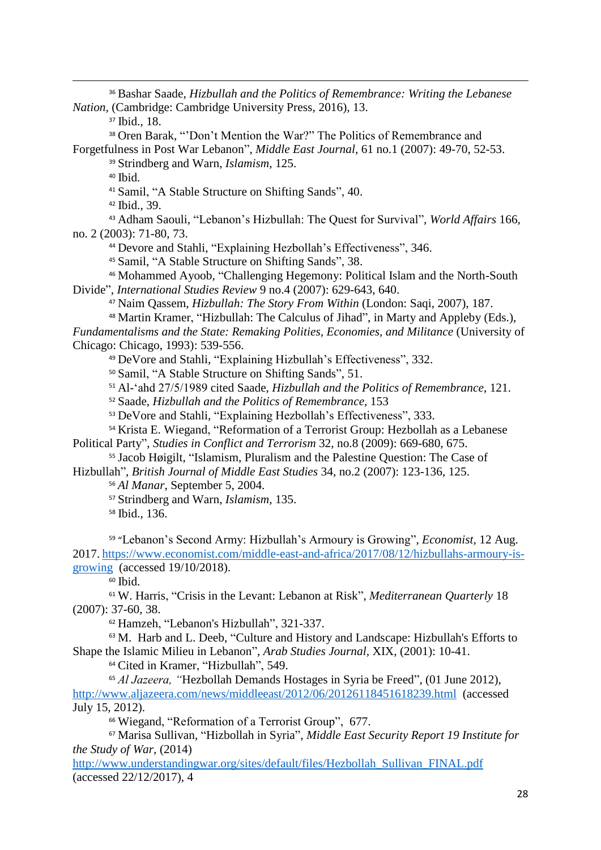Bashar Saade, *Hizbullah and the Politics of Remembrance: Writing the Lebanese Nation,* (Cambridge: Cambridge University Press, 2016), 13.

Ibid., 18.

**.** 

Oren Barak, "'Don't Mention the War?" The Politics of Remembrance and

Forgetfulness in Post War Lebanon", *Middle East Journal,* 61 no.1 (2007): 49-70, 52-53. Strindberg and Warn, *Islamism*, 125.

Ibid.

Samil, "A Stable Structure on Shifting Sands", 40.

Ibid., 39.

 Adham Saouli, "Lebanon's Hizbullah: The Quest for Survival", *World Affairs* 166, no. 2 (2003): 71-80, 73.

Devore and Stahli, "Explaining Hezbollah's Effectiveness", 346.

Samil, "A Stable Structure on Shifting Sands", 38.

 Mohammed Ayoob, "Challenging Hegemony: Political Islam and the North-South Divide", *International Studies Review* 9 no.4 (2007): 629-643, 640.

Naim Qassem, *Hizbullah: The Story From Within* (London: Saqi, 2007), 187.

 Martin Kramer, "Hizbullah: The Calculus of Jihad", in Marty and Appleby (Eds.), *Fundamentalisms and the State: Remaking Polities, Economies, and Militance* (University of Chicago: Chicago, 1993): 539-556.

DeVore and Stahli, "Explaining Hizbullah's Effectiveness", 332.

Samil, "A Stable Structure on Shifting Sands", 51.

Al-'ahd 27/5/1989 cited Saade, *Hizbullah and the Politics of Remembrance*, 121.

Saade, *Hizbullah and the Politics of Remembrance,* 153

DeVore and Stahli, "Explaining Hezbollah's Effectiveness", 333.

 Krista E. Wiegand, "Reformation of a Terrorist Group: Hezbollah as a Lebanese Political Party", *Studies in Conflict and Terrorism* 32, no.8 (2009): 669-680, 675.

 Jacob Høigilt, "Islamism, Pluralism and the Palestine Question: The Case of Hizbullah", *British Journal of Middle East Studies* 34, no.2 (2007): 123-136, 125.

*Al Manar*, September 5, 2004.

Strindberg and Warn, *Islamism*, 135.

Ibid., 136.

 "Lebanon's Second Army: Hizbullah's Armoury is Growing", *Economist,* 12 Aug. 2017. [https://www.economist.com/middle-east-and-africa/2017/08/12/hizbullahs-armoury-is](https://www.economist.com/middle-east-and-africa/2017/08/12/hizbullahs-armoury-is-growing)[growing](https://www.economist.com/middle-east-and-africa/2017/08/12/hizbullahs-armoury-is-growing) (accessed 19/10/2018).

Ibid.

 W. Harris, "Crisis in the Levant: Lebanon at Risk", *Mediterranean Quarterly* 18 (2007): 37-60, 38.

Hamzeh, "Lebanon's Hizbullah", 321-337.

 M. Harb and L. Deeb, "Culture and History and Landscape: Hizbullah's Efforts to Shape the Islamic Milieu in Lebanon", *Arab Studies Journal,* XIX, (2001): 10-41.

Cited in Kramer, "Hizbullah", 549.

 *Al Jazeera, "*Hezbollah Demands Hostages in Syria be Freed"*,* (01 June 2012), <http://www.aljazeera.com/news/middleeast/2012/06/20126118451618239.html>(accessed July 15, 2012).

Wiegand, "Reformation of a Terrorist Group", 677.

 Marisa Sullivan, "Hizbollah in Syria", *Middle East Security Report 19 Institute for the Study of War,* (2014)

[http://www.understandingwar.org/sites/default/files/Hezbollah\\_Sullivan\\_FINAL.pdf](http://www.understandingwar.org/sites/default/files/Hezbollah_Sullivan_FINAL.pdf) (accessed 22/12/2017), 4